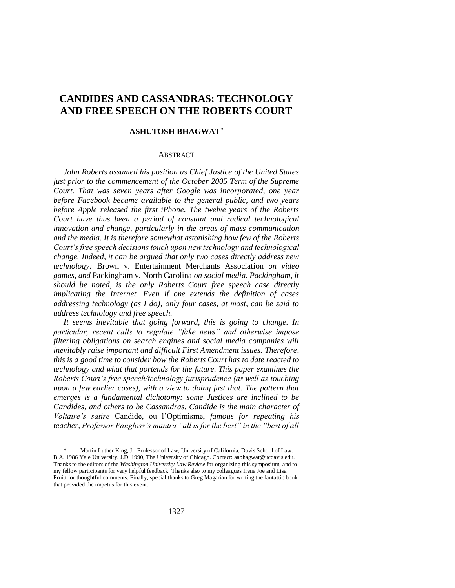# **CANDIDES AND CASSANDRAS: TECHNOLOGY AND FREE SPEECH ON THE ROBERTS COURT**

# **ASHUTOSH BHAGWAT\***

## **ABSTRACT**

*John Roberts assumed his position as Chief Justice of the United States just prior to the commencement of the October 2005 Term of the Supreme Court. That was seven years after Google was incorporated, one year before Facebook became available to the general public, and two years before Apple released the first iPhone. The twelve years of the Roberts Court have thus been a period of constant and radical technological innovation and change, particularly in the areas of mass communication and the media. It is therefore somewhat astonishing how few of the Roberts Court's free speech decisions touch upon new technology and technological change. Indeed, it can be argued that only two cases directly address new technology:* Brown v. Entertainment Merchants Association *on video games, and* Packingham v. North Carolina *on social media. Packingham, it should be noted, is the only Roberts Court free speech case directly implicating the Internet. Even if one extends the definition of cases addressing technology (as I do), only four cases, at most, can be said to address technology and free speech.*

*It seems inevitable that going forward, this is going to change. In particular, recent calls to regulate "fake news" and otherwise impose filtering obligations on search engines and social media companies will inevitably raise important and difficult First Amendment issues. Therefore, this is a good time to consider how the Roberts Court has to date reacted to technology and what that portends for the future. This paper examines the Roberts Court's free speech/technology jurisprudence (as well as touching upon a few earlier cases), with a view to doing just that. The pattern that emerges is a fundamental dichotomy: some Justices are inclined to be Candides, and others to be Cassandras. Candide is the main character of Voltaire's satire* Candide, ou l'Optimisme, *famous for repeating his teacher, Professor Pangloss's mantra "all is for the best" in the "best of all* 

Martin Luther King, Jr. Professor of Law, University of California, Davis School of Law. B.A. 1986 Yale University. J.D. 1990, The University of Chicago. Contact[: aabhagwat@ucdavis.edu.](mailto:aabhagwat@ucdavis.edu)  Thanks to the editors of the *Washington University Law Review* for organizing this symposium, and to my fellow participants for very helpful feedback. Thanks also to my colleagues Irene Joe and Lisa Pruitt for thoughtful comments. Finally, special thanks to Greg Magarian for writing the fantastic book that provided the impetus for this event.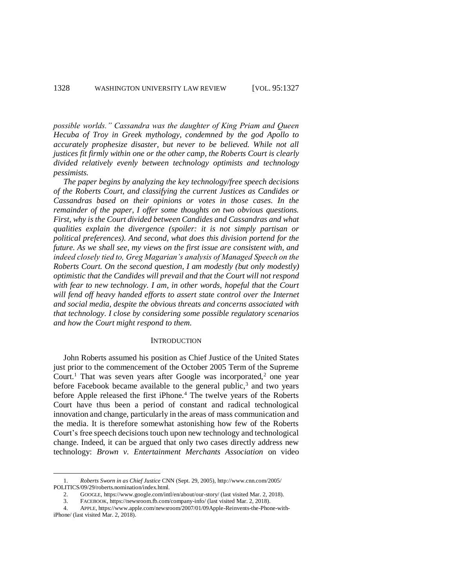*possible worlds." Cassandra was the daughter of King Priam and Queen Hecuba of Troy in Greek mythology, condemned by the god Apollo to accurately prophesize disaster, but never to be believed. While not all justices fit firmly within one or the other camp, the Roberts Court is clearly divided relatively evenly between technology optimists and technology pessimists.*

*The paper begins by analyzing the key technology/free speech decisions of the Roberts Court, and classifying the current Justices as Candides or Cassandras based on their opinions or votes in those cases. In the remainder of the paper, I offer some thoughts on two obvious questions. First, why is the Court divided between Candides and Cassandras and what qualities explain the divergence (spoiler: it is not simply partisan or political preferences). And second, what does this division portend for the future. As we shall see, my views on the first issue are consistent with, and indeed closely tied to, Greg Magarian's analysis of Managed Speech on the Roberts Court. On the second question, I am modestly (but only modestly) optimistic that the Candides will prevail and that the Court will not respond with fear to new technology. I am, in other words, hopeful that the Court*  will fend off heavy handed efforts to assert state control over the Internet *and social media, despite the obvious threats and concerns associated with that technology. I close by considering some possible regulatory scenarios and how the Court might respond to them.*

## **INTRODUCTION**

John Roberts assumed his position as Chief Justice of the United States just prior to the commencement of the October 2005 Term of the Supreme Court.<sup>1</sup> That was seven years after Google was incorporated,<sup>2</sup> one year before Facebook became available to the general public, $3$  and two years before Apple released the first iPhone.<sup>4</sup> The twelve years of the Roberts Court have thus been a period of constant and radical technological innovation and change, particularly in the areas of mass communication and the media. It is therefore somewhat astonishing how few of the Roberts Court's free speech decisions touch upon new technology and technological change. Indeed, it can be argued that only two cases directly address new technology: *Brown v. Entertainment Merchants Association* on video

<sup>1.</sup> *Roberts Sworn in as Chief Justice* CNN (Sept. 29, 2005), http://www.cnn.com/2005/ POLITICS/09/29/roberts.nomination/index.html.

<sup>2.</sup> GOOGLE, https://www.google.com/intl/en/about/our-story/ (last visited Mar. 2, 2018).

<sup>3.</sup> FACEBOOK, https://newsroom.fb.com/company-info/ (last visited Mar. 2, 2018).

<sup>4.</sup> APPLE, https://www.apple.com/newsroom/2007/01/09Apple-Reinvents-the-Phone-withiPhone/ (last visited Mar. 2, 2018).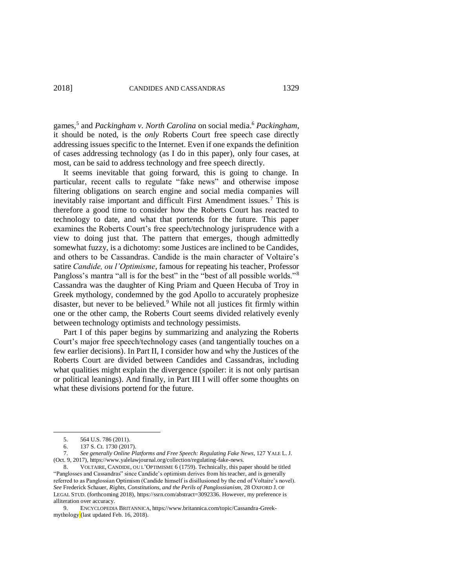games,<sup>5</sup> and *Packingham v. North Carolina* on social media.<sup>6</sup> *Packingham*, it should be noted, is the *only* Roberts Court free speech case directly addressing issues specific to the Internet. Even if one expands the definition of cases addressing technology (as I do in this paper), only four cases, at most, can be said to address technology and free speech directly.

It seems inevitable that going forward, this is going to change. In particular, recent calls to regulate "fake news" and otherwise impose filtering obligations on search engine and social media companies will inevitably raise important and difficult First Amendment issues.<sup>7</sup> This is therefore a good time to consider how the Roberts Court has reacted to technology to date, and what that portends for the future. This paper examines the Roberts Court's free speech/technology jurisprudence with a view to doing just that. The pattern that emerges, though admittedly somewhat fuzzy, is a dichotomy: some Justices are inclined to be Candides, and others to be Cassandras. Candide is the main character of Voltaire's satire *Candide, ou l'Optimisme*, famous for repeating his teacher, Professor Pangloss's mantra "all is for the best" in the "best of all possible worlds."<sup>8</sup> Cassandra was the daughter of King Priam and Queen Hecuba of Troy in Greek mythology, condemned by the god Apollo to accurately prophesize disaster, but never to be believed.<sup>9</sup> While not all justices fit firmly within one or the other camp, the Roberts Court seems divided relatively evenly between technology optimists and technology pessimists.

Part I of this paper begins by summarizing and analyzing the Roberts Court's major free speech/technology cases (and tangentially touches on a few earlier decisions). In Part II, I consider how and why the Justices of the Roberts Court are divided between Candides and Cassandras, including what qualities might explain the divergence (spoiler: it is not only partisan or political leanings). And finally, in Part III I will offer some thoughts on what these divisions portend for the future.

 $\overline{a}$ 

9. ENCYCLOPEDIA BRITANNICA, https://www.britannica.com/topic/Cassandra-Greekmythology (last updated Feb. 16, 2018).

<sup>5.</sup> 564 U.S. 786 (2011).

<sup>6.</sup> 137 S. Ct. 1730 (2017).

<sup>7.</sup> *See generally Online Platforms and Free Speech: Regulating Fake News*, 127 YALE L. J. (Oct. 9, 2017), https://www.yalelawjournal.org/collection/regulating-fake-news.

<sup>8.</sup> VOLTAIRE, CANDIDE, OU L'OPTIMISME 6 (1759). Technically, this paper should be titled "Panglosses and Cassandras" since Candide's optimism derives from his teacher, and is generally referred to as Panglossian Optimism (Candide himself is disillusioned by the end of Voltaire's novel). *See* Frederick Schauer, *Rights, Constitutions, and the Perils of Panglossianism*, 28 OXFORD J. OF LEGAL STUD. (forthcoming 2018)[, https://ssrn.com/abstract=3092336.](https://ssrn.com/abstract=3092336) However, my preference is alliteration over accuracy.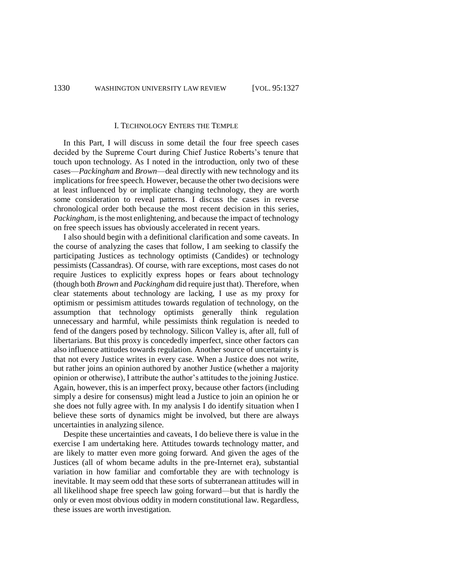#### I. TECHNOLOGY ENTERS THE TEMPLE

In this Part, I will discuss in some detail the four free speech cases decided by the Supreme Court during Chief Justice Roberts's tenure that touch upon technology. As I noted in the introduction, only two of these cases—*Packingham* and *Brown*—deal directly with new technology and its implications for free speech. However, because the other two decisions were at least influenced by or implicate changing technology, they are worth some consideration to reveal patterns. I discuss the cases in reverse chronological order both because the most recent decision in this series, *Packingham*, is the most enlightening, and because the impact of technology on free speech issues has obviously accelerated in recent years.

I also should begin with a definitional clarification and some caveats. In the course of analyzing the cases that follow, I am seeking to classify the participating Justices as technology optimists (Candides) or technology pessimists (Cassandras). Of course, with rare exceptions, most cases do not require Justices to explicitly express hopes or fears about technology (though both *Brown* and *Packingham* did require just that). Therefore, when clear statements about technology are lacking, I use as my proxy for optimism or pessimism attitudes towards regulation of technology, on the assumption that technology optimists generally think regulation unnecessary and harmful, while pessimists think regulation is needed to fend of the dangers posed by technology. Silicon Valley is, after all, full of libertarians. But this proxy is concededly imperfect, since other factors can also influence attitudes towards regulation. Another source of uncertainty is that not every Justice writes in every case. When a Justice does not write, but rather joins an opinion authored by another Justice (whether a majority opinion or otherwise), I attribute the author's attitudes to the joining Justice. Again, however, this is an imperfect proxy, because other factors (including simply a desire for consensus) might lead a Justice to join an opinion he or she does not fully agree with. In my analysis I do identify situation when I believe these sorts of dynamics might be involved, but there are always uncertainties in analyzing silence.

Despite these uncertainties and caveats, I do believe there is value in the exercise I am undertaking here. Attitudes towards technology matter, and are likely to matter even more going forward. And given the ages of the Justices (all of whom became adults in the pre-Internet era), substantial variation in how familiar and comfortable they are with technology is inevitable. It may seem odd that these sorts of subterranean attitudes will in all likelihood shape free speech law going forward—but that is hardly the only or even most obvious oddity in modern constitutional law. Regardless, these issues are worth investigation.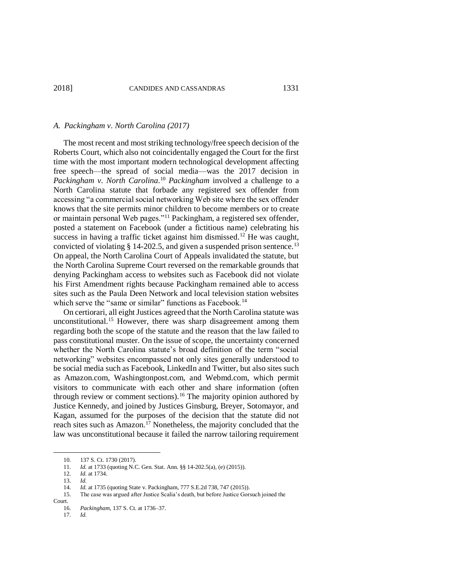#### *A. Packingham v. North Carolina (2017)*

The most recent and most striking technology/free speech decision of the Roberts Court, which also not coincidentally engaged the Court for the first time with the most important modern technological development affecting free speech—the spread of social media—was the 2017 decision in *Packingham v. North Carolina*. <sup>10</sup> *Packingham* involved a challenge to a North Carolina statute that forbade any registered sex offender from accessing "a commercial social networking Web site where the sex offender knows that the site permits minor children to become members or to create or maintain personal Web pages."<sup>11</sup> Packingham, a registered sex offender, posted a statement on Facebook (under a fictitious name) celebrating his success in having a traffic ticket against him dismissed.<sup>12</sup> He was caught, convicted of violating  $\S$  14-202.5, and given a suspended prison sentence.<sup>13</sup> On appeal, the North Carolina Court of Appeals invalidated the statute, but the North Carolina Supreme Court reversed on the remarkable grounds that denying Packingham access to websites such as Facebook did not violate his First Amendment rights because Packingham remained able to access sites such as the Paula Deen Network and local television station websites which serve the "same or similar" functions as Facebook.<sup>14</sup>

On certiorari, all eight Justices agreed that the North Carolina statute was unconstitutional.<sup>15</sup> However, there was sharp disagreement among them regarding both the scope of the statute and the reason that the law failed to pass constitutional muster. On the issue of scope, the uncertainty concerned whether the North Carolina statute's broad definition of the term "social networking" websites encompassed not only sites generally understood to be social media such as Facebook, LinkedIn and Twitter, but also sites such as Amazon.com, Washingtonpost.com, and Webmd.com, which permit visitors to communicate with each other and share information (often through review or comment sections).<sup>16</sup> The majority opinion authored by Justice Kennedy, and joined by Justices Ginsburg, Breyer, Sotomayor, and Kagan, assumed for the purposes of the decision that the statute did not reach sites such as Amazon.<sup>17</sup> Nonetheless, the majority concluded that the law was unconstitutional because it failed the narrow tailoring requirement

Court.

 $\overline{a}$ 

17. *Id.*

<sup>10. 137</sup> S. Ct. 1730 (2017).<br>11. *Id.* at 1733 (quoting N.

*Id.* at 1733 (quoting N.C. Gen. Stat. Ann. §§ 14-202.5(a), (e) (2015)).

<sup>12.</sup> *Id.* at 1734.

<sup>13.</sup> *Id.*

<sup>14.</sup> *Id.* at 1735 (quoting State v. Packingham, 777 S.E.2d 738, 747 (2015)).<br>15. The case was argued after Justice Scalia's death, but before Justice Gors

<sup>15.</sup> The case was argued after Justice Scalia's death, but before Justice Gorsuch joined the

<sup>16.</sup> *Packingham*, 137 S. Ct. at 1736–37.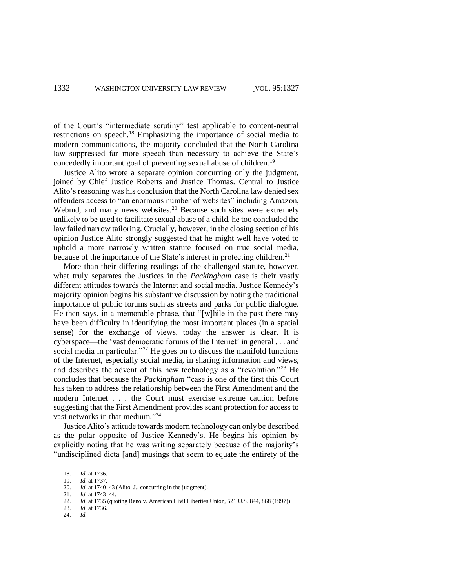of the Court's "intermediate scrutiny" test applicable to content-neutral restrictions on speech.<sup>18</sup> Emphasizing the importance of social media to modern communications, the majority concluded that the North Carolina law suppressed far more speech than necessary to achieve the State's concededly important goal of preventing sexual abuse of children.<sup>19</sup>

Justice Alito wrote a separate opinion concurring only the judgment, joined by Chief Justice Roberts and Justice Thomas. Central to Justice Alito's reasoning was his conclusion that the North Carolina law denied sex offenders access to "an enormous number of websites" including Amazon, Webmd, and many news websites.<sup>20</sup> Because such sites were extremely unlikely to be used to facilitate sexual abuse of a child, he too concluded the law failed narrow tailoring. Crucially, however, in the closing section of his opinion Justice Alito strongly suggested that he might well have voted to uphold a more narrowly written statute focused on true social media, because of the importance of the State's interest in protecting children.<sup>21</sup>

More than their differing readings of the challenged statute, however, what truly separates the Justices in the *Packingham* case is their vastly different attitudes towards the Internet and social media. Justice Kennedy's majority opinion begins his substantive discussion by noting the traditional importance of public forums such as streets and parks for public dialogue. He then says, in a memorable phrase, that "[w]hile in the past there may have been difficulty in identifying the most important places (in a spatial sense) for the exchange of views, today the answer is clear. It is cyberspace—the 'vast democratic forums of the Internet' in general . . . and social media in particular."<sup>22</sup> He goes on to discuss the manifold functions of the Internet, especially social media, in sharing information and views, and describes the advent of this new technology as a "revolution."<sup>23</sup> He concludes that because the *Packingham* "case is one of the first this Court has taken to address the relationship between the First Amendment and the modern Internet . . . the Court must exercise extreme caution before suggesting that the First Amendment provides scant protection for access to vast networks in that medium." 24

Justice Alito's attitude towards modern technology can only be described as the polar opposite of Justice Kennedy's. He begins his opinion by explicitly noting that he was writing separately because of the majority's "undisciplined dicta [and] musings that seem to equate the entirety of the

<sup>18.</sup> *Id.* at 1736.

<sup>19.</sup> *Id.* at 1737.

<sup>20.</sup> *Id.* at 1740–43 (Alito, J., concurring in the judgment).<br>21. *Id.* at 1743–44.

<sup>21.</sup> *Id.* at 1743–44.

<sup>22.</sup> *Id.* at 1735 (quoting Reno v. American Civil Liberties Union, 521 U.S. 844, 868 (1997)).<br>23. *Id.* at 1736.

*Id.* at 1736.

<sup>24.</sup> *Id.*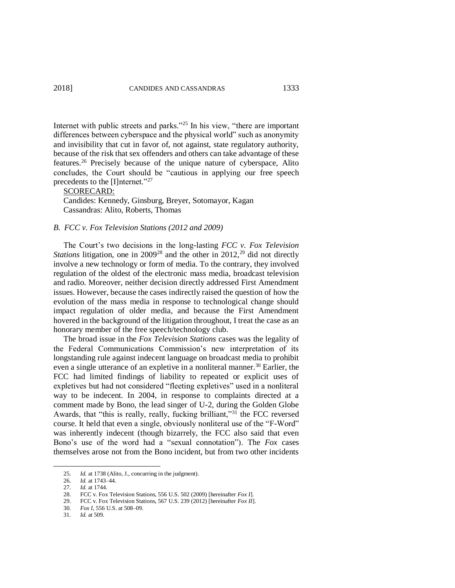Internet with public streets and parks."<sup>25</sup> In his view, "there are important differences between cyberspace and the physical world" such as anonymity and invisibility that cut in favor of, not against, state regulatory authority, because of the risk that sex offenders and others can take advantage of these features.<sup>26</sup> Precisely because of the unique nature of cyberspace, Alito concludes, the Court should be "cautious in applying our free speech precedents to the [I]nternet."<sup>27</sup>

## SCORECARD:

Candides: Kennedy, Ginsburg, Breyer, Sotomayor, Kagan Cassandras: Alito, Roberts, Thomas

# *B. FCC v. Fox Television Stations (2012 and 2009)*

The Court's two decisions in the long-lasting *FCC v. Fox Television Stations* litigation, one in  $2009^{28}$  and the other in  $2012$ , <sup>29</sup> did not directly involve a new technology or form of media. To the contrary, they involved regulation of the oldest of the electronic mass media, broadcast television and radio. Moreover, neither decision directly addressed First Amendment issues. However, because the cases indirectly raised the question of how the evolution of the mass media in response to technological change should impact regulation of older media, and because the First Amendment hovered in the background of the litigation throughout, I treat the case as an honorary member of the free speech/technology club.

The broad issue in the *Fox Television Stations* cases was the legality of the Federal Communications Commission's new interpretation of its longstanding rule against indecent language on broadcast media to prohibit even a single utterance of an expletive in a nonliteral manner.<sup>30</sup> Earlier, the FCC had limited findings of liability to repeated or explicit uses of expletives but had not considered "fleeting expletives" used in a nonliteral way to be indecent. In 2004, in response to complaints directed at a comment made by Bono, the lead singer of U-2, during the Golden Globe Awards, that "this is really, really, fucking brilliant,"<sup>31</sup> the FCC reversed course. It held that even a single, obviously nonliteral use of the "F-Word" was inherently indecent (though bizarrely, the FCC also said that even Bono's use of the word had a "sexual connotation"). The *Fox* cases themselves arose not from the Bono incident, but from two other incidents

<sup>25.</sup> *Id.* at 1738 (Alito, J., concurring in the judgment).

<sup>26.</sup> *Id.* at 1743–44.

<sup>27.</sup> *Id.* at 1744.

<sup>28.</sup> FCC v. Fox Television Stations, 556 U.S. 502 (2009) [hereinafter *Fox I*].

<sup>29.</sup> FCC v. Fox Television Stations, 567 U.S. 239 (2012) [hereinafter *Fox II*].

<sup>30.</sup> *Fox I*, 556 U.S. at 508–09.

<sup>31.</sup> *Id.* at 509.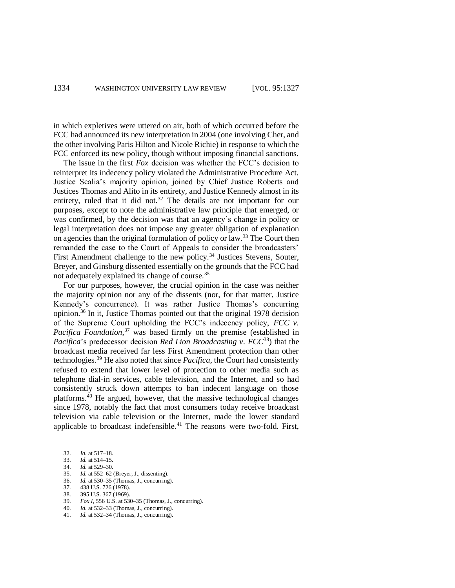in which expletives were uttered on air, both of which occurred before the FCC had announced its new interpretation in 2004 (one involving Cher, and the other involving Paris Hilton and Nicole Richie) in response to which the FCC enforced its new policy, though without imposing financial sanctions.

The issue in the first *Fox* decision was whether the FCC's decision to reinterpret its indecency policy violated the Administrative Procedure Act. Justice Scalia's majority opinion, joined by Chief Justice Roberts and Justices Thomas and Alito in its entirety, and Justice Kennedy almost in its entirety, ruled that it did not.<sup>32</sup> The details are not important for our purposes, except to note the administrative law principle that emerged, or was confirmed, by the decision was that an agency's change in policy or legal interpretation does not impose any greater obligation of explanation on agencies than the original formulation of policy or law.<sup>33</sup> The Court then remanded the case to the Court of Appeals to consider the broadcasters' First Amendment challenge to the new policy.<sup>34</sup> Justices Stevens, Souter, Breyer, and Ginsburg dissented essentially on the grounds that the FCC had not adequately explained its change of course.<sup>35</sup>

For our purposes, however, the crucial opinion in the case was neither the majority opinion nor any of the dissents (nor, for that matter, Justice Kennedy's concurrence). It was rather Justice Thomas's concurring opinion.<sup>36</sup> In it, Justice Thomas pointed out that the original 1978 decision of the Supreme Court upholding the FCC's indecency policy, *FCC v. Pacifica Foundation*, <sup>37</sup> was based firmly on the premise (established in *Pacifica*'s predecessor decision *Red Lion Broadcasting v. FCC*<sup>38</sup>) that the broadcast media received far less First Amendment protection than other technologies.<sup>39</sup> He also noted that since *Pacifica*, the Court had consistently refused to extend that lower level of protection to other media such as telephone dial-in services, cable television, and the Internet, and so had consistently struck down attempts to ban indecent language on those platforms. $40$  He argued, however, that the massive technological changes since 1978, notably the fact that most consumers today receive broadcast television via cable television or the Internet, made the lower standard applicable to broadcast indefensible.<sup>41</sup> The reasons were two-fold. First,

- 35. *Id.* at 552–62 (Breyer, J., dissenting).
- 36. *Id.* at 530–35 (Thomas, J., concurring).
- 37. 438 U.S. 726 (1978).<br>38. 395 U.S. 367 (1969). 38. 395 U.S. 367 (1969).
- 39. *Fox I*, 556 U.S. at 530–35 (Thomas, J., concurring).
- 40. *Id.* at 532–33 (Thomas, J., concurring).
- 
- 41. *Id.* at 532–34 (Thomas, J., concurring).

<sup>32.</sup> *Id.* at 517–18.

<sup>33.</sup> *Id.* at 514–15.

<sup>34.</sup> *Id.* at 529–30.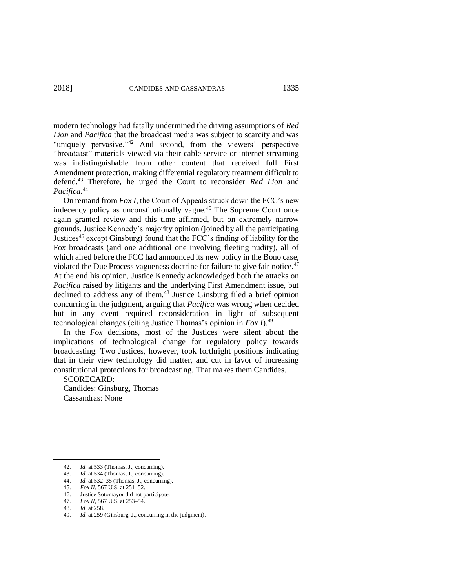modern technology had fatally undermined the driving assumptions of *Red Lion* and *Pacifica* that the broadcast media was subject to scarcity and was "uniquely pervasive."<sup>42</sup> And second, from the viewers' perspective "broadcast" materials viewed via their cable service or internet streaming was indistinguishable from other content that received full First Amendment protection, making differential regulatory treatment difficult to defend. <sup>43</sup> Therefore, he urged the Court to reconsider *Red Lion* and *Pacifica*. 44

On remand from *Fox I*, the Court of Appeals struck down the FCC's new indecency policy as unconstitutionally vague.<sup>45</sup> The Supreme Court once again granted review and this time affirmed, but on extremely narrow grounds. Justice Kennedy's majority opinion (joined by all the participating Justices<sup>46</sup> except Ginsburg) found that the FCC's finding of liability for the Fox broadcasts (and one additional one involving fleeting nudity), all of which aired before the FCC had announced its new policy in the Bono case, violated the Due Process vagueness doctrine for failure to give fair notice.<sup>47</sup> At the end his opinion, Justice Kennedy acknowledged both the attacks on *Pacifica* raised by litigants and the underlying First Amendment issue, but declined to address any of them.<sup>48</sup> Justice Ginsburg filed a brief opinion concurring in the judgment, arguing that *Pacifica* was wrong when decided but in any event required reconsideration in light of subsequent technological changes (citing Justice Thomas's opinion in *Fox I*).<sup>49</sup>

In the *Fox* decisions, most of the Justices were silent about the implications of technological change for regulatory policy towards broadcasting. Two Justices, however, took forthright positions indicating that in their view technology did matter, and cut in favor of increasing constitutional protections for broadcasting. That makes them Candides.

SCORECARD: Candides: Ginsburg, Thomas

Cassandras: None

<sup>42.</sup> *Id.* at 533 (Thomas, J., concurring).

<sup>43.</sup> *Id.* at 534 (Thomas, J., concurring).

<sup>44.</sup> *Id.* at 532–35 (Thomas, J., concurring).

<sup>45.</sup> *Fox II*, 567 U.S. at 251–52.

Justice Sotomayor did not participate.

<sup>47.</sup> *Fox II*, 567 U.S. at 253–54.

<sup>48.</sup> *Id.* at 258.

<sup>49.</sup> *Id.* at 259 (Ginsburg, J., concurring in the judgment).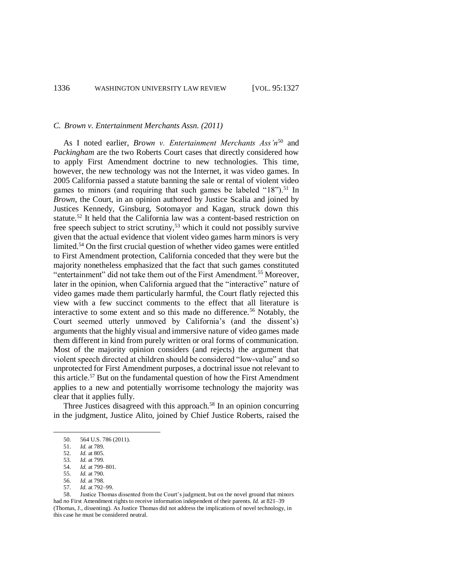## *C. Brown v. Entertainment Merchants Assn. (2011)*

As I noted earlier, *Brown v. Entertainment Merchants Ass'n*<sup>50</sup> and *Packingham* are the two Roberts Court cases that directly considered how to apply First Amendment doctrine to new technologies. This time, however, the new technology was not the Internet, it was video games. In 2005 California passed a statute banning the sale or rental of violent video games to minors (and requiring that such games be labeled " $18$ ").<sup>51</sup> In *Brown*, the Court, in an opinion authored by Justice Scalia and joined by Justices Kennedy, Ginsburg, Sotomayor and Kagan, struck down this statute.<sup>52</sup> It held that the California law was a content-based restriction on free speech subject to strict scrutiny,<sup>53</sup> which it could not possibly survive given that the actual evidence that violent video games harm minors is very limited.<sup>54</sup> On the first crucial question of whether video games were entitled to First Amendment protection, California conceded that they were but the majority nonetheless emphasized that the fact that such games constituted "entertainment" did not take them out of the First Amendment.<sup>55</sup> Moreover, later in the opinion, when California argued that the "interactive" nature of video games made them particularly harmful, the Court flatly rejected this view with a few succinct comments to the effect that all literature is interactive to some extent and so this made no difference.<sup>56</sup> Notably, the Court seemed utterly unmoved by California's (and the dissent's) arguments that the highly visual and immersive nature of video games made them different in kind from purely written or oral forms of communication. Most of the majority opinion considers (and rejects) the argument that violent speech directed at children should be considered "low-value" and so unprotected for First Amendment purposes, a doctrinal issue not relevant to this article.<sup>57</sup> But on the fundamental question of how the First Amendment applies to a new and potentially worrisome technology the majority was clear that it applies fully.

Three Justices disagreed with this approach.<sup>58</sup> In an opinion concurring in the judgment, Justice Alito, joined by Chief Justice Roberts, raised the

<sup>50.</sup> 564 U.S. 786 (2011).

<sup>51.</sup> *Id.* at 789.

<sup>52.</sup> *Id.* at 805.

<sup>53.</sup> *Id.* at 799. 54. *Id.* at 799–801.

<sup>55.</sup> *Id.* at 790.

<sup>56.</sup> *Id.* at 798.

<sup>57.</sup> *Id.* at 792–99. Justice Thomas dissented from the Court's judgment, but on the novel ground that minors had *no* First Amendment rights to receive information independent of their parents. *Id.* at 821–39 (Thomas, J., dissenting). As Justice Thomas did not address the implications of novel technology, in this case he must be considered neutral.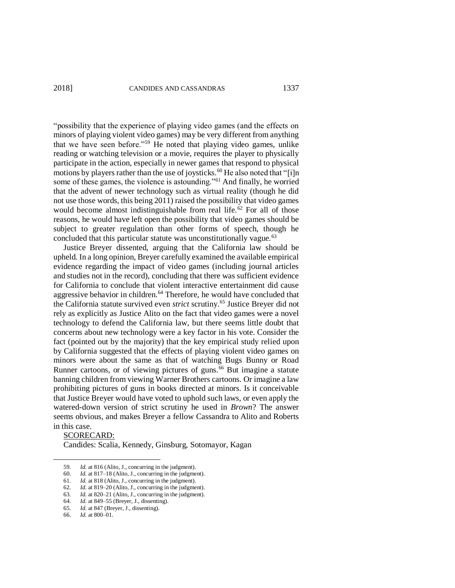"possibility that the experience of playing video games (and the effects on minors of playing violent video games) may be very different from anything that we have seen before."<sup>59</sup> He noted that playing video games, unlike reading or watching television or a movie, requires the player to physically participate in the action, especially in newer games that respond to physical participate in the action, experiency on the use of  $\frac{1}{2}$  motions by players rather than the use of joysticks.<sup>60</sup> He also noted that "[i]n some of these games, the violence is astounding."<sup>61</sup> And finally, he worried that the advent of newer technology such as virtual reality (though he did not use those words, this being 2011) raised the possibility that video games would become almost indistinguishable from real life.<sup>62</sup> For all of those reasons, he would have left open the possibility that video games should be subject to greater regulation than other forms of speech, though he concluded that this particular statute was unconstitutionally vague.<sup>63</sup>

Justice Breyer dissented, arguing that the California law should be upheld. In a long opinion, Breyer carefully examined the available empirical evidence regarding the impact of video games (including journal articles and studies not in the record), concluding that there was sufficient evidence for California to conclude that violent interactive entertainment did cause aggressive behavior in children.<sup>64</sup> Therefore, he would have concluded that the California statute survived even *strict* scrutiny.<sup>65</sup> Justice Breyer did not rely as explicitly as Justice Alito on the fact that video games were a novel technology to defend the California law, but there seems little doubt that concerns about new technology were a key factor in his vote. Consider the fact (pointed out by the majority) that the key empirical study relied upon by California suggested that the effects of playing violent video games on minors were about the same as that of watching Bugs Bunny or Road Runner cartoons, or of viewing pictures of guns.<sup>66</sup> But imagine a statute banning children from viewing Warner Brothers cartoons. Or imagine a law prohibiting pictures of guns in books directed at minors. Is it conceivable that Justice Breyer would have voted to uphold such laws, or even apply the watered-down version of strict scrutiny he used in *Brown*? The answer seems obvious, and makes Breyer a fellow Cassandra to Alito and Roberts in this case.

## SCORECARD:

 $\overline{a}$ 

Candides: Scalia, Kennedy, Ginsburg, Sotomayor, Kagan

<sup>59.</sup> *Id.* at 816 (Alito, J., concurring in the judgment).

<sup>60.</sup> *Id.* at 817–18 (Alito, J., concurring in the judgment).

<sup>61.</sup> *Id.* at 818 (Alito, J., concurring in the judgment).

<sup>62.</sup> *Id.* at 819–20 (Alito, J., concurring in the judgment). 63. *Id.* at 820–21 (Alito, J., concurring in the judgment).

<sup>64.</sup> *Id.* at 849–55 (Breyer, J., dissenting).

<sup>65.</sup> *Id.* at 847 (Breyer, J., dissenting).

*Id.* at 800–01.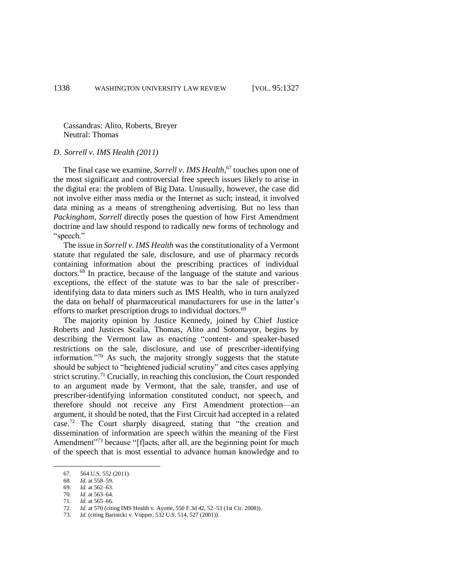Cassandras: Alito, Roberts, Breyer Neutral: Thomas

# *D. Sorrell v. IMS Health (2011)*

The final case we examine, *Sorrell v. IMS Health*, <sup>67</sup> touches upon one of the most significant and controversial free speech issues likely to arise in the digital era: the problem of Big Data. Unusually, however, the case did not involve either mass media or the Internet as such; instead, it involved data mining as a means of strengthening advertising. But no less than *Packingham*, *Sorrell* directly poses the question of how First Amendment doctrine and law should respond to radically new forms of technology and "speech."

The issue in *Sorrell v. IMS Health* was the constitutionality of a Vermont statute that regulated the sale, disclosure, and use of pharmacy records containing information about the prescribing practices of individual doctors.<sup>68</sup> In practice, because of the language of the statute and various exceptions, the effect of the statute was to bar the sale of prescriberidentifying data to data miners such as IMS Health, who in turn analyzed the data on behalf of pharmaceutical manufacturers for use in the latter's efforts to market prescription drugs to individual doctors.<sup>69</sup>

The majority opinion by Justice Kennedy, joined by Chief Justice Roberts and Justices Scalia, Thomas, Alito and Sotomayor, begins by describing the Vermont law as enacting "content- and speaker-based restrictions on the sale, disclosure, and use of prescriber-identifying information."<sup>70</sup> As such, the majority strongly suggests that the statute should be subject to "heightened judicial scrutiny" and cites cases applying strict scrutiny.<sup>71</sup> Crucially, in reaching this conclusion, the Court responded to an argument made by Vermont, that the sale, transfer, and use of prescriber-identifying information constituted conduct, not speech, and therefore should not receive any First Amendment protection—an argument, it should be noted, that the First Circuit had accepted in a related case.<sup>72</sup> The Court sharply disagreed, stating that "the creation and dissemination of information are speech within the meaning of the First Amendment<sup>"73</sup> because "[f]acts, after all, are the beginning point for much of the speech that is most essential to advance human knowledge and to

<sup>67.</sup> 564 U.S. 552 (2011).

<sup>68.</sup> *Id.* at 558–59.

<sup>69.</sup> *Id.* at 562–63.

*Id.* at 563–64.

<sup>71.</sup> *Id.* at 565–66.

<sup>72.</sup> *Id.* at 570 (citing IMS Health v. Ayotte, 550 F.3d 42, 52–53 (1st Cir. 2008)).

<sup>73.</sup> *Id.* (citing Bartnicki v. Vopper, 532 U.S. 514, 527 (2001)).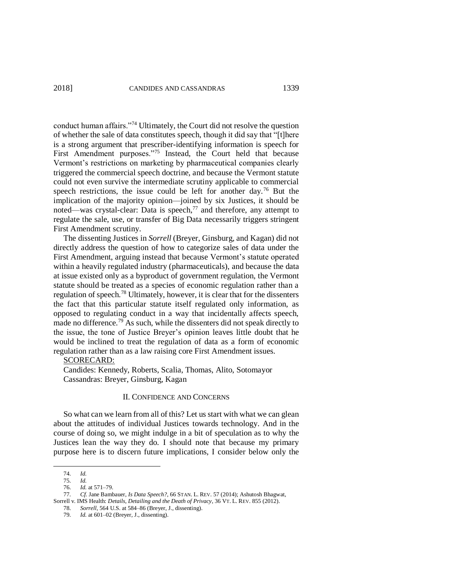conduct human affairs."<sup>74</sup> Ultimately, the Court did not resolve the question of whether the sale of data constitutes speech, though it did say that "[t]here is a strong argument that prescriber-identifying information is speech for First Amendment purposes."<sup>75</sup> Instead, the Court held that because Vermont's restrictions on marketing by pharmaceutical companies clearly triggered the commercial speech doctrine, and because the Vermont statute could not even survive the intermediate scrutiny applicable to commercial speech restrictions, the issue could be left for another day.<sup>76</sup> But the implication of the majority opinion—joined by six Justices, it should be noted—was crystal-clear: Data is speech,<sup>77</sup> and therefore, any attempt to regulate the sale, use, or transfer of Big Data necessarily triggers stringent First Amendment scrutiny.

The dissenting Justices in *Sorrell* (Breyer, Ginsburg, and Kagan) did not directly address the question of how to categorize sales of data under the First Amendment, arguing instead that because Vermont's statute operated within a heavily regulated industry (pharmaceuticals), and because the data at issue existed only as a byproduct of government regulation, the Vermont statute should be treated as a species of economic regulation rather than a regulation of speech.<sup>78</sup> Ultimately, however, it is clear that for the dissenters the fact that this particular statute itself regulated only information, as opposed to regulating conduct in a way that incidentally affects speech, made no difference.<sup>79</sup> As such, while the dissenters did not speak directly to the issue, the tone of Justice Breyer's opinion leaves little doubt that he would be inclined to treat the regulation of data as a form of economic regulation rather than as a law raising core First Amendment issues.

## SCORECARD:

Candides: Kennedy, Roberts, Scalia, Thomas, Alito, Sotomayor Cassandras: Breyer, Ginsburg, Kagan

# II. CONFIDENCE AND CONCERNS

So what can we learn from all of this? Let us start with what we can glean about the attitudes of individual Justices towards technology. And in the course of doing so, we might indulge in a bit of speculation as to why the Justices lean the way they do. I should note that because my primary purpose here is to discern future implications, I consider below only the

<sup>74.</sup> *Id.*

<sup>75.</sup> *Id.*

<sup>76.</sup> *Id.* at 571–79.

<sup>77.</sup> *Cf.* Jane Bambauer, *Is Data Speech?*, 66 STAN. L. REV. 57 (2014); Ashutosh Bhagwat, Sorrell v. IMS Health: *Details, Detailing and the Death of Privacy*, 36 VT. L. REV. 855 (2012).

<sup>78.</sup> *Sorrell*, 564 U.S. at 584–86 (Breyer, J., dissenting).

<sup>79.</sup> *Id.* at 601–02 (Breyer, J., dissenting).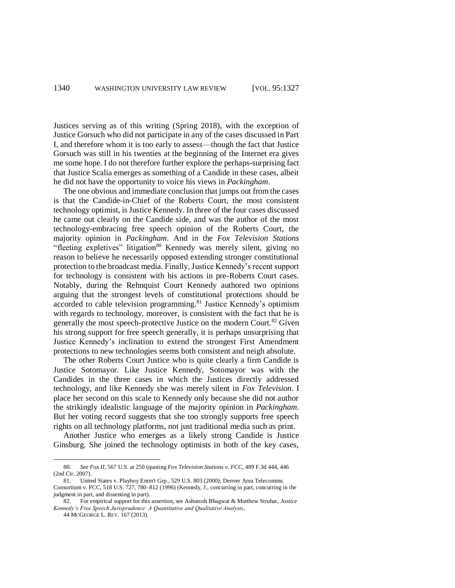Justices serving as of this writing (Spring 2018), with the exception of Justice Gorsuch who did not participate in any of the cases discussed in Part I, and therefore whom it is too early to assess—though the fact that Justice Gorsuch was still in his twenties at the beginning of the Internet era gives me some hope. I do not therefore further explore the perhaps-surprising fact that Justice Scalia emerges as something of a Candide in these cases, albeit he did not have the opportunity to voice his views in *Packingham*.

The one obvious and immediate conclusion that jumps out from the cases is that the Candide-in-Chief of the Roberts Court, the most consistent technology optimist, is Justice Kennedy. In three of the four cases discussed he came out clearly on the Candide side, and was the author of the most technology-embracing free speech opinion of the Roberts Court, the majority opinion in *Packingham*. And in the *Fox Television Stations* "fleeting expletives" litigation<sup>80</sup> Kennedy was merely silent, giving no reason to believe he necessarily opposed extending stronger constitutional protection to the broadcast media. Finally, Justice Kennedy's recent support for technology is consistent with his actions in pre-Roberts Court cases. Notably, during the Rehnquist Court Kennedy authored two opinions arguing that the strongest levels of constitutional protections should be accorded to cable television programming.<sup>81</sup> Justice Kennedy's optimism with regards to technology, moreover, is consistent with the fact that he is generally the most speech-protective Justice on the modern Court.<sup>82</sup> Given his strong support for free speech generally, it is perhaps unsurprising that Justice Kennedy's inclination to extend the strongest First Amendment protections to new technologies seems both consistent and neigh absolute.

The other Roberts Court Justice who is quite clearly a firm Candide is Justice Sotomayor. Like Justice Kennedy, Sotomayor was with the Candides in the three cases in which the Justices directly addressed technology, and like Kennedy she was merely silent in *Fox Television*. I place her second on this scale to Kennedy only because she did not author the strikingly idealistic language of the majority opinion in *Packingham*. But her voting record suggests that she too strongly supports free speech rights on all technology platforms, not just traditional media such as print.

Another Justice who emerges as a likely strong Candide is Justice Ginsburg. She joined the technology optimists in both of the key cases,

<sup>80.</sup> *See Fox II*, 567 U.S. at 250 (quoting *Fox Television Stations v. FCC*, 489 F.3d 444, 446 (2nd Cir. 2007).

<sup>81.</sup> United States v. Playboy Entm't Grp., 529 U.S. 803 (2000); Denver Area Telecomms. Consortium v. FCC, 518 U.S. 727, 780–812 (1996) (Kennedy, J., concurring in part, concurring in the judgment in part, and dissenting in part).

<sup>82.</sup> For empirical support for this assertion, see Ashutosh Bhagwat & Matthew Struhar, *Justice Kennedy's Free Speech Jurisprudence: A Quantitative and Qualitative Analysis*,

<sup>44</sup> MCGEORGE L. REV. 167 (2013).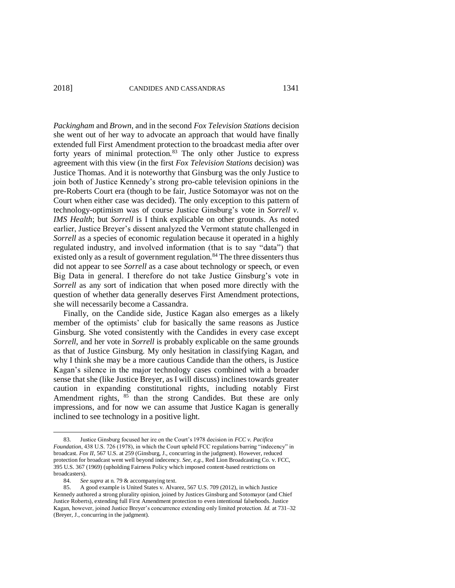*Packingham* and *Brown*, and in the second *Fox Television Stations* decision she went out of her way to advocate an approach that would have finally extended full First Amendment protection to the broadcast media after over forty years of minimal protection.<sup>83</sup> The only other Justice to express agreement with this view (in the first *Fox Television Stations* decision) was Justice Thomas. And it is noteworthy that Ginsburg was the only Justice to join both of Justice Kennedy's strong pro-cable television opinions in the pre-Roberts Court era (though to be fair, Justice Sotomayor was not on the Court when either case was decided). The only exception to this pattern of technology-optimism was of course Justice Ginsburg's vote in *Sorrell v. IMS Health*; but *Sorrell* is I think explicable on other grounds. As noted earlier, Justice Breyer's dissent analyzed the Vermont statute challenged in *Sorrell* as a species of economic regulation because it operated in a highly regulated industry, and involved information (that is to say "data") that existed only as a result of government regulation.<sup>84</sup> The three dissenters thus did not appear to see *Sorrell* as a case about technology or speech, or even Big Data in general. I therefore do not take Justice Ginsburg's vote in *Sorrell* as any sort of indication that when posed more directly with the question of whether data generally deserves First Amendment protections, she will necessarily become a Cassandra.

Finally, on the Candide side, Justice Kagan also emerges as a likely member of the optimists' club for basically the same reasons as Justice Ginsburg. She voted consistently with the Candides in every case except *Sorrell*, and her vote in *Sorrell* is probably explicable on the same grounds as that of Justice Ginsburg. My only hesitation in classifying Kagan, and why I think she may be a more cautious Candide than the others, is Justice Kagan's silence in the major technology cases combined with a broader sense that she (like Justice Breyer, as I will discuss) inclines towards greater caution in expanding constitutional rights, including notably First Amendment rights,  $85$  than the strong Candides. But these are only impressions, and for now we can assume that Justice Kagan is generally inclined to see technology in a positive light.

<sup>83.</sup> Justice Ginsburg focused her ire on the Court's 1978 decision in *FCC v. Pacifica Foundation*, 438 U.S. 726 (1978), in which the Court upheld FCC regulations barring "indecency" in broadcast. *Fox II*, 567 U.S. at 259 (Ginsburg, J., concurring in the judgment). However, reduced protection for broadcast went well beyond indecency. *See, e.g.*, Red Lion Broadcasting Co. v. FCC, 395 U.S. 367 (1969) (upholding Fairness Policy which imposed content-based restrictions on broadcasters).

<sup>84.</sup> *See supra* at n. 79 & accompanying text.

<sup>85.</sup> A good example is United States v. Alvarez, 567 U.S. 709 (2012), in which Justice Kennedy authored a strong plurality opinion, joined by Justices Ginsburg and Sotomayor (and Chief Justice Roberts), extending full First Amendment protection to even intentional falsehoods. Justice Kagan, however, joined Justice Breyer's concurrence extending only limited protection. *Id.* at 731–32 (Breyer, J., concurring in the judgment).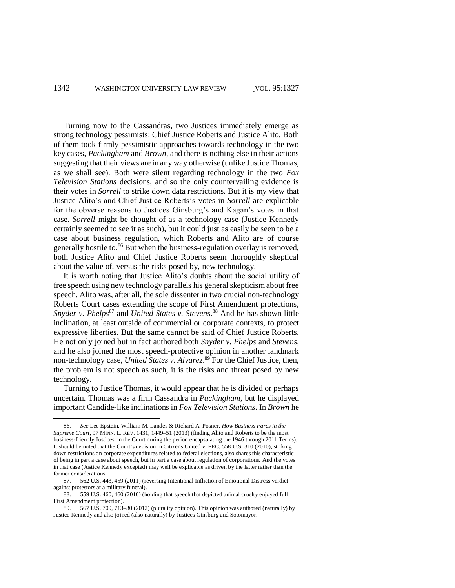Turning now to the Cassandras, two Justices immediately emerge as strong technology pessimists: Chief Justice Roberts and Justice Alito. Both of them took firmly pessimistic approaches towards technology in the two key cases, *Packingham* and *Brown*, and there is nothing else in their actions suggesting that their views are in any way otherwise (unlike Justice Thomas, as we shall see). Both were silent regarding technology in the two *Fox Television Stations* decisions, and so the only countervailing evidence is their votes in *Sorrell* to strike down data restrictions. But it is my view that Justice Alito's and Chief Justice Roberts's votes in *Sorrell* are explicable for the obverse reasons to Justices Ginsburg's and Kagan's votes in that case. *Sorrell* might be thought of as a technology case (Justice Kennedy certainly seemed to see it as such), but it could just as easily be seen to be a case about business regulation, which Roberts and Alito are of course generally hostile to.<sup>86</sup> But when the business-regulation overlay is removed, both Justice Alito and Chief Justice Roberts seem thoroughly skeptical about the value of, versus the risks posed by, new technology.

It is worth noting that Justice Alito's doubts about the social utility of free speech using new technology parallels his general skepticism about free speech. Alito was, after all, the sole dissenter in two crucial non-technology Roberts Court cases extending the scope of First Amendment protections, *Snyder v. Phelps*<sup>87</sup> and *United States v. Stevens*. <sup>88</sup> And he has shown little inclination, at least outside of commercial or corporate contexts, to protect expressive liberties. But the same cannot be said of Chief Justice Roberts. He not only joined but in fact authored both *Snyder v. Phelps* and *Stevens*, and he also joined the most speech-protective opinion in another landmark non-technology case, *United States v. Alvarez*. <sup>89</sup> For the Chief Justice, then, the problem is not speech as such, it is the risks and threat posed by new technology.

Turning to Justice Thomas, it would appear that he is divided or perhaps uncertain. Thomas was a firm Cassandra in *Packingham*, but he displayed important Candide-like inclinations in *Fox Television Stations*. In *Brown* he

<sup>86.</sup> *See* Lee Epstein, William M. Landes & Richard A. Posner, *How Business Fares in the Supreme Court*, 97 MINN. L. REV. 1431, 1449–51 (2013) (finding Alito and Roberts to be the most business-friendly Justices on the Court during the period encapsulating the 1946 through 2011 Terms). It should be noted that the Court's decision in Citizens United v. FEC, 558 U.S. 310 (2010), striking down restrictions on corporate expenditures related to federal elections, also shares this characteristic of being in part a case about speech, but in part a case about regulation of corporations. And the votes in that case (Justice Kennedy excepted) may well be explicable as driven by the latter rather than the former considerations.

<sup>87.</sup> 562 U.S. 443, 459 (2011) (reversing Intentional Infliction of Emotional Distress verdict against protestors at a military funeral).<br> $88 \t 559 \t 115 \t 460 \t 460 \t (2010) \t (h)$ 

<sup>88.</sup> 559 U.S. 460, 460 (2010) (holding that speech that depicted animal cruelty enjoyed full First Amendment protection).

<sup>89.</sup> 567 U.S. 709, 713–30 (2012) (plurality opinion). This opinion was authored (naturally) by Justice Kennedy and also joined (also naturally) by Justices Ginsburg and Sotomayor.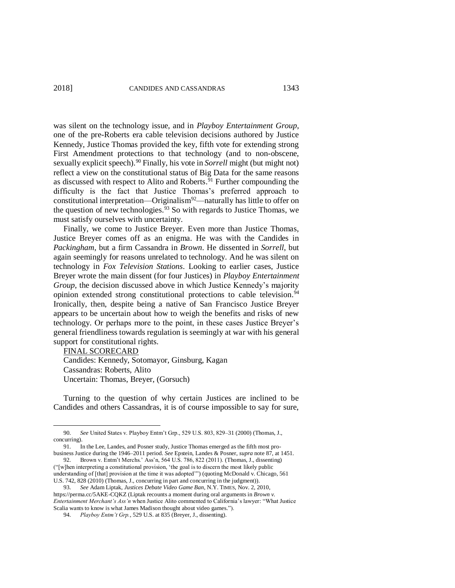was silent on the technology issue, and in *Playboy Entertainment Group*, one of the pre-Roberts era cable television decisions authored by Justice Kennedy, Justice Thomas provided the key, fifth vote for extending strong First Amendment protections to that technology (and to non-obscene, sexually explicit speech).<sup>90</sup> Finally, his vote in *Sorrell* might (but might not) reflect a view on the constitutional status of Big Data for the same reasons as discussed with respect to Alito and Roberts.<sup>91</sup> Further compounding the difficulty is the fact that Justice Thomas's preferred approach to constitutional interpretation—Originalism<sup>92</sup>—naturally has little to offer on the question of new technologies.  $93$  So with regards to Justice Thomas, we must satisfy ourselves with uncertainty.

Finally, we come to Justice Breyer. Even more than Justice Thomas, Justice Breyer comes off as an enigma. He was with the Candides in *Packingham*, but a firm Cassandra in *Brown*. He dissented in *Sorrell*, but again seemingly for reasons unrelated to technology. And he was silent on technology in *Fox Television Stations*. Looking to earlier cases, Justice Breyer wrote the main dissent (for four Justices) in *Playboy Entertainment Group*, the decision discussed above in which Justice Kennedy's majority opinion extended strong constitutional protections to cable television.<sup>94</sup> Ironically, then, despite being a native of San Francisco Justice Breyer appears to be uncertain about how to weigh the benefits and risks of new technology. Or perhaps more to the point, in these cases Justice Breyer's general friendliness towards regulation is seemingly at war with his general support for constitutional rights.

FINAL SCORECARD Candides: Kennedy, Sotomayor, Ginsburg, Kagan Cassandras: Roberts, Alito Uncertain: Thomas, Breyer, (Gorsuch)

 $\overline{a}$ 

Turning to the question of why certain Justices are inclined to be Candides and others Cassandras, it is of course impossible to say for sure,

<sup>90.</sup> *See* United States v. Playboy Entm't Grp., 529 U.S. 803, 829–31 (2000) (Thomas, J., concurring).

<sup>91.</sup> In the Lee, Landes, and Posner study, Justice Thomas emerged as the fifth most probusiness Justice during the 1946–2011 period. *See* Epstein, Landes & Posner, *supra* note 87, at 1451.

<sup>92.</sup> Brown v. Entm't Merchs.' Ass'n, 564 U.S. 786, 822 (2011). (Thomas, J., dissenting) ("[w]hen interpreting a constitutional provision, 'the goal is to discern the most likely public understanding of [that] provision at the time it was adopted'") (quoting McDonald v. Chicago, 561 U.S. 742, 828 (2010) (Thomas, J., concurring in part and concurring in the judgment)).

<sup>93.</sup> *See* Adam Liptak, *Justices Debate Video Game Ban*, N.Y. TIMES, Nov. 2, 2010, https://perma.cc/5AKE-CQKZ (Liptak recounts a moment during oral arguments in *Brown v. Entertainment Merchant's Ass'n* when Justice Alito commented to California's lawyer: "What Justice Scalia wants to know is what James Madison thought about video games.").

<sup>94.</sup> *Playboy Entm't Grp.*, 529 U.S. at 835 (Breyer, J., dissenting).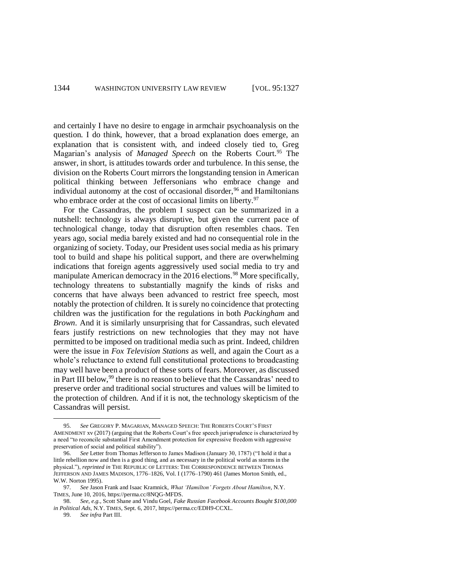and certainly I have no desire to engage in armchair psychoanalysis on the question. I do think, however, that a broad explanation does emerge, an explanation that is consistent with, and indeed closely tied to, Greg Magarian's analysis of *Managed Speech* on the Roberts Court.<sup>95</sup> The answer, in short, is attitudes towards order and turbulence. In this sense, the division on the Roberts Court mirrors the longstanding tension in American political thinking between Jeffersonians who embrace change and individual autonomy at the cost of occasional disorder,  $96$  and Hamiltonians who embrace order at the cost of occasional limits on liberty.<sup>97</sup>

For the Cassandras, the problem I suspect can be summarized in a nutshell: technology is always disruptive, but given the current pace of technological change, today that disruption often resembles chaos. Ten years ago, social media barely existed and had no consequential role in the organizing of society. Today, our President uses social media as his primary tool to build and shape his political support, and there are overwhelming indications that foreign agents aggressively used social media to try and manipulate American democracy in the 2016 elections.<sup>98</sup> More specifically, technology threatens to substantially magnify the kinds of risks and concerns that have always been advanced to restrict free speech, most notably the protection of children. It is surely no coincidence that protecting children was the justification for the regulations in both *Packingham* and *Brown*. And it is similarly unsurprising that for Cassandras, such elevated fears justify restrictions on new technologies that they may not have permitted to be imposed on traditional media such as print. Indeed, children were the issue in *Fox Television Stations* as well, and again the Court as a whole's reluctance to extend full constitutional protections to broadcasting may well have been a product of these sorts of fears. Moreover, as discussed in Part III below,  $99$  there is no reason to believe that the Cassandras' need to preserve order and traditional social structures and values will be limited to the protection of children. And if it is not, the technology skepticism of the Cassandras will persist.

99. *See infra* Part III.

<sup>95.</sup> *See* GREGORY P. MAGARIAN, MANAGED SPEECH: THE ROBERTS COURT'S FIRST AMENDMENT xv (2017) (arguing that the Roberts Court's free speech jurisprudence is characterized by a need "to reconcile substantial First Amendment protection for expressive freedom with aggressive preservation of social and political stability").

<sup>96.</sup> *See* Letter from Thomas Jefferson to James Madison (January 30, 1787) ("I hold it that a little rebellion now and then is a good thing, and as necessary in the political world as storms in the physical."), *reprinted in* THE REPUBLIC OF LETTERS: THE CORRESPONDENCE BETWEEN THOMAS JEFFERSON AND JAMES MADISON, 1776–1826, Vol. I (1776–1790) 461 (James Morton Smith, ed., W.W. Norton 1995).

<sup>97.</sup> *See* Jason Frank and Isaac Kramnick, *What 'Hamilton' Forgets About Hamilton*, N.Y. TIMES, June 10, 2016, https://perma.cc/8NQG-MFDS.

<sup>98.</sup> *See, e.g.*, Scott Shane and Vindu Goel, *Fake Russian Facebook Accounts Bought \$100,000 in Political Ads,* N.Y. TIMES, Sept. 6, 2017, https://perma.cc/EDH9-CCXL.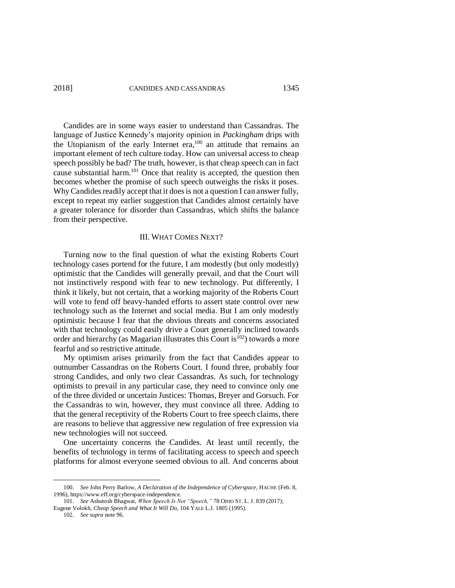Candides are in some ways easier to understand than Cassandras. The language of Justice Kennedy's majority opinion in *Packingham* drips with the Utopianism of the early Internet era,<sup>100</sup> an attitude that remains an important element of tech culture today. How can universal access to cheap speech possibly be bad? The truth, however, is that cheap speech can in fact cause substantial harm.<sup>101</sup> Once that reality is accepted, the question then becomes whether the promise of such speech outweighs the risks it poses. Why Candides readily accept that it does is not a question I can answer fully, except to repeat my earlier suggestion that Candides almost certainly have a greater tolerance for disorder than Cassandras, which shifts the balance from their perspective.

## III. WHAT COMES NEXT?

Turning now to the final question of what the existing Roberts Court technology cases portend for the future, I am modestly (but only modestly) optimistic that the Candides will generally prevail, and that the Court will not instinctively respond with fear to new technology. Put differently, I think it likely, but not certain, that a working majority of the Roberts Court will vote to fend off heavy-handed efforts to assert state control over new technology such as the Internet and social media. But I am only modestly optimistic because I fear that the obvious threats and concerns associated with that technology could easily drive a Court generally inclined towards order and hierarchy (as Magarian illustrates this Court is  $^{102}$ ) towards a more fearful and so restrictive attitude.

My optimism arises primarily from the fact that Candides appear to outnumber Cassandras on the Roberts Court. I found three, probably four strong Candides, and only two clear Cassandras. As such, for technology optimists to prevail in any particular case, they need to convince only one of the three divided or uncertain Justices: Thomas, Breyer and Gorsuch. For the Cassandras to win, however, they must convince all three. Adding to that the general receptivity of the Roberts Court to free speech claims, there are reasons to believe that aggressive new regulation of free expression via new technologies will not succeed.

One uncertainty concerns the Candides. At least until recently, the benefits of technology in terms of facilitating access to speech and speech platforms for almost everyone seemed obvious to all. And concerns about

<sup>100.</sup> *See* John Perry Barlow, *A Declaration of the Independence of Cyberspace*, HACHE (Feb. 8, 1996), https://www.eff.org/cyberspace-independence.

<sup>101.</sup> *See* Ashutosh Bhagwat, *When Speech Is Not "Speech,"* 78 OHIO ST. L. J. 839 (2017); Eugene Volokh, *Cheap Speech and What It Will Do*, 104 YALE L.J. 1805 (1995).

<sup>102.</sup> *See supra* note 96.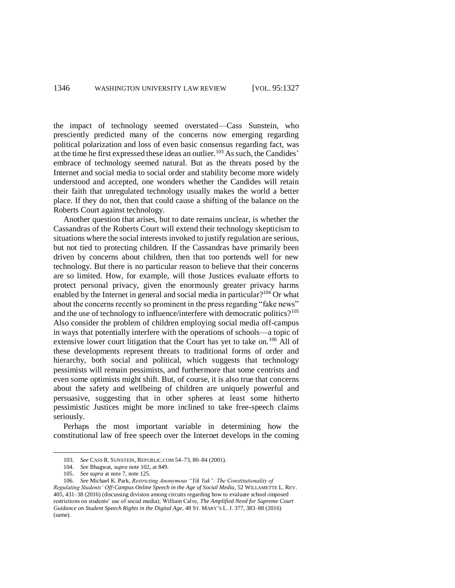the impact of technology seemed overstated—Cass Sunstein, who presciently predicted many of the concerns now emerging regarding political polarization and loss of even basic consensus regarding fact, was at the time he first expressed these ideas an outlier.<sup>103</sup> As such, the Candides' embrace of technology seemed natural. But as the threats posed by the Internet and social media to social order and stability become more widely understood and accepted, one wonders whether the Candides will retain their faith that unregulated technology usually makes the world a better place. If they do not, then that could cause a shifting of the balance on the Roberts Court against technology.

Another question that arises, but to date remains unclear, is whether the Cassandras of the Roberts Court will extend their technology skepticism to situations where the social interests invoked to justify regulation are serious, but not tied to protecting children. If the Cassandras have primarily been driven by concerns about children, then that too portends well for new technology. But there is no particular reason to believe that their concerns are so limited. How, for example, will those Justices evaluate efforts to protect personal privacy, given the enormously greater privacy harms enabled by the Internet in general and social media in particular?<sup>104</sup> Or what about the concerns recently so prominent in the press regarding "fake news" and the use of technology to influence/interfere with democratic politics?<sup>105</sup> Also consider the problem of children employing social media off-campus in ways that potentially interfere with the operations of schools—a topic of extensive lower court litigation that the Court has yet to take on.<sup>106</sup> All of these developments represent threats to traditional forms of order and hierarchy, both social and political, which suggests that technology pessimists will remain pessimists, and furthermore that some centrists and even some optimists might shift. But, of course, it is also true that concerns about the safety and wellbeing of children are uniquely powerful and persuasive, suggesting that in other spheres at least some hitherto pessimistic Justices might be more inclined to take free-speech claims seriously.

Perhaps the most important variable in determining how the constitutional law of free speech over the Internet develops in the coming

<sup>103.</sup> *See* CASS R. SUNSTEIN, REPUBLIC.COM 54–73, 80–84 (2001).

<sup>104.</sup> *See* Bhagwat, *supra* note 102, at 849.

<sup>105.</sup> *See supra* at note 7, note 125.

<sup>106.</sup> *See* Michael K. Park, *Restricting Anonymous "Yik Yak": The Constitutionality of Regulating Students' Off-Campus Online Speech in the Age of Social Media*, 52 WILLAMETTE L. REV. 405, 431–38 (2016) (discussing division among circuits regarding how to evaluate school-imposed restrictions on students' use of social media); William Calve, *The Amplified Need for Supreme Court Guidance on Student Speech Rights in the Digital Age*, 48 ST. MARY'S L. J. 377, 383–88 (2016) (same).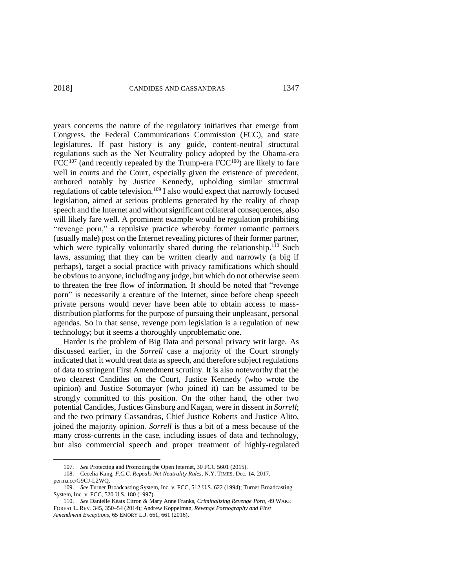$\overline{a}$ 

years concerns the nature of the regulatory initiatives that emerge from Congress, the Federal Communications Commission (FCC), and state legislatures. If past history is any guide, content-neutral structural regulations such as the Net Neutrality policy adopted by the Obama-era  $FCC^{107}$  (and recently repealed by the Trump-era  $FCC^{108}$ ) are likely to fare well in courts and the Court, especially given the existence of precedent, authored notably by Justice Kennedy, upholding similar structural regulations of cable television.<sup>109</sup> I also would expect that narrowly focused legislation, aimed at serious problems generated by the reality of cheap speech and the Internet and without significant collateral consequences, also will likely fare well. A prominent example would be regulation prohibiting "revenge porn," a repulsive practice whereby former romantic partners (usually male) post on the Internet revealing pictures of their former partner, which were typically voluntarily shared during the relationship.<sup>110</sup> Such laws, assuming that they can be written clearly and narrowly (a big if perhaps), target a social practice with privacy ramifications which should be obvious to anyone, including any judge, but which do not otherwise seem to threaten the free flow of information. It should be noted that "revenge porn" is necessarily a creature of the Internet, since before cheap speech private persons would never have been able to obtain access to massdistribution platforms for the purpose of pursuing their unpleasant, personal agendas. So in that sense, revenge porn legislation is a regulation of new technology; but it seems a thoroughly unproblematic one.

Harder is the problem of Big Data and personal privacy writ large. As discussed earlier, in the *Sorrell* case a majority of the Court strongly indicated that it would treat data as speech, and therefore subject regulations of data to stringent First Amendment scrutiny. It is also noteworthy that the two clearest Candides on the Court, Justice Kennedy (who wrote the opinion) and Justice Sotomayor (who joined it) can be assumed to be strongly committed to this position. On the other hand, the other two potential Candides, Justices Ginsburg and Kagan, were in dissent in *Sorrell*; and the two primary Cassandras, Chief Justice Roberts and Justice Alito, joined the majority opinion. *Sorrell* is thus a bit of a mess because of the many cross-currents in the case, including issues of data and technology, but also commercial speech and proper treatment of highly-regulated

<sup>107.</sup> *See* Protecting and Promoting the Open Internet, 30 FCC 5601 (2015).

<sup>108.</sup> Cecelia Kang, *F.C.C. Repeals Net Neutrality Rules*, N.Y. TIMES, Dec. 14, 2017, perma.cc/G9CJ-L2WQ.

<sup>109.</sup> *See* Turner Broadcasting System, Inc. v. FCC, 512 U.S. 622 (1994); Turner Broadcasting System, Inc. v. FCC, 520 U.S. 180 (1997).

<sup>110.</sup> *See* Danielle Keats Citron & Mary Anne Franks, *Criminalizing Revenge Porn*, 49 WAKE FOREST L. REV. 345, 350–54 (2014); Andrew Koppelman, *Revenge Pornography and First Amendment Exceptions*, 65 EMORY L.J. 661, 661 (2016).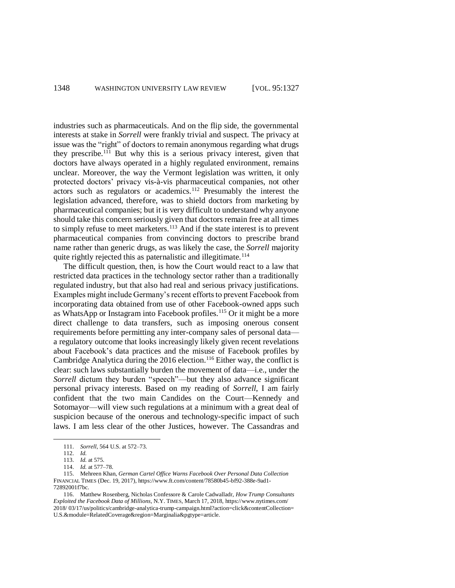industries such as pharmaceuticals. And on the flip side, the governmental interests at stake in *Sorrell* were frankly trivial and suspect. The privacy at issue was the "right" of doctors to remain anonymous regarding what drugs they prescribe.<sup>111</sup> But why this is a serious privacy interest, given that doctors have always operated in a highly regulated environment, remains unclear. Moreover, the way the Vermont legislation was written, it only protected doctors' privacy vis-à-vis pharmaceutical companies, not other actors such as regulators or academics.<sup>112</sup> Presumably the interest the legislation advanced, therefore, was to shield doctors from marketing by pharmaceutical companies; but it is very difficult to understand why anyone should take this concern seriously given that doctors remain free at all times to simply refuse to meet marketers.<sup>113</sup> And if the state interest is to prevent pharmaceutical companies from convincing doctors to prescribe brand name rather than generic drugs, as was likely the case, the *Sorrell* majority quite rightly rejected this as paternalistic and illegitimate.<sup>114</sup>

The difficult question, then, is how the Court would react to a law that restricted data practices in the technology sector rather than a traditionally regulated industry, but that also had real and serious privacy justifications. Examples might include Germany's recent efforts to prevent Facebook from incorporating data obtained from use of other Facebook-owned apps such as WhatsApp or Instagram into Facebook profiles.<sup>115</sup> Or it might be a more direct challenge to data transfers, such as imposing onerous consent requirements before permitting any inter-company sales of personal data a regulatory outcome that looks increasingly likely given recent revelations about Facebook's data practices and the misuse of Facebook profiles by Cambridge Analytica during the 2016 election.<sup>116</sup> Either way, the conflict is clear: such laws substantially burden the movement of data—i.e., under the *Sorrell* dictum they burden "speech"—but they also advance significant personal privacy interests. Based on my reading of *Sorrell*, I am fairly confident that the two main Candides on the Court—Kennedy and Sotomayor—will view such regulations at a minimum with a great deal of suspicion because of the onerous and technology-specific impact of such laws. I am less clear of the other Justices, however. The Cassandras and

<sup>111.</sup> *Sorrell*, 564 U.S. at 572–73.

<sup>112.</sup> *Id.*

<sup>113.</sup> *Id.* at 575.

<sup>114.</sup> *Id.* at 577–78.

<sup>115.</sup> Mehreen Khan, *German Cartel Office Warns Facebook Over Personal Data Collection* FINANCIAL TIMES (Dec. 19, 2017), https://www.ft.com/content/78580b45-bf92-388e-9ad1- 72892001f7bc.

<sup>116.</sup> Matthew Rosenberg, Nicholas Confessore & Carole Cadwalladr, *How Trump Consultants Exploited the Facebook Data of Millions*, N.Y. TIMES, March 17, 2018, https://www.nytimes.com/ 2018/ 03/17/us/politics/cambridge-analytica-trump-campaign.html?action=click&contentCollection= U.S.&module=RelatedCoverage&region=Marginalia&pgtype=article.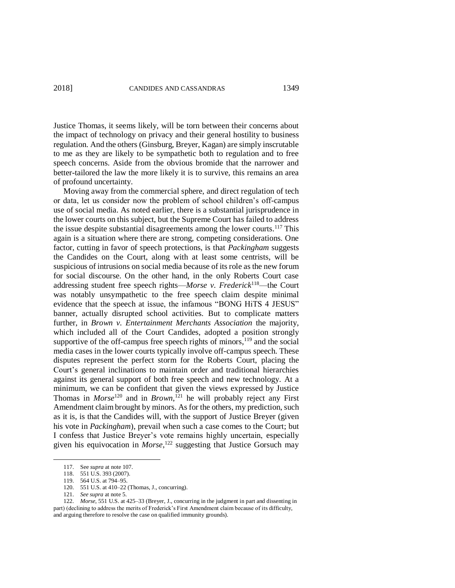Justice Thomas, it seems likely, will be torn between their concerns about the impact of technology on privacy and their general hostility to business regulation. And the others (Ginsburg, Breyer, Kagan) are simply inscrutable to me as they are likely to be sympathetic both to regulation and to free speech concerns. Aside from the obvious bromide that the narrower and better-tailored the law the more likely it is to survive, this remains an area of profound uncertainty.

Moving away from the commercial sphere, and direct regulation of tech or data, let us consider now the problem of school children's off-campus use of social media. As noted earlier, there is a substantial jurisprudence in the lower courts on this subject, but the Supreme Court has failed to address the issue despite substantial disagreements among the lower courts. <sup>117</sup> This again is a situation where there are strong, competing considerations. One factor, cutting in favor of speech protections, is that *Packingham* suggests the Candides on the Court, along with at least some centrists, will be suspicious of intrusions on social media because of its role as the new forum for social discourse. On the other hand, in the only Roberts Court case addressing student free speech rights—*Morse v. Frederick*<sup>118</sup>—the Court was notably unsympathetic to the free speech claim despite minimal evidence that the speech at issue, the infamous "BONG HiTS 4 JESUS" banner, actually disrupted school activities. But to complicate matters further, in *Brown v. Entertainment Merchants Association* the majority, which included all of the Court Candides, adopted a position strongly supportive of the off-campus free speech rights of minors, $119$  and the social media cases in the lower courts typically involve off-campus speech. These disputes represent the perfect storm for the Roberts Court, placing the Court's general inclinations to maintain order and traditional hierarchies against its general support of both free speech and new technology. At a minimum, we can be confident that given the views expressed by Justice Thomas in *Morse*<sup>120</sup> and in *Brown*, <sup>121</sup> he will probably reject any First Amendment claim brought by minors. As for the others, my prediction, such as it is, is that the Candides will, with the support of Justice Breyer (given his vote in *Packingham*), prevail when such a case comes to the Court; but I confess that Justice Breyer's vote remains highly uncertain, especially given his equivocation in *Morse*, <sup>122</sup> suggesting that Justice Gorsuch may

<sup>117.</sup> See *supra* at note 107.

<sup>118.</sup> 551 U.S. 393 (2007).

<sup>119.</sup> 564 U.S. at 794–95.

<sup>120.</sup> 551 U.S. at 410–22 (Thomas, J., concurring).

<sup>121.</sup> *See supra* at note 5.

<sup>122.</sup> *Morse*, 551 U.S. at 425–33 (Breyer, J., concurring in the judgment in part and dissenting in part) (declining to address the merits of Frederick's First Amendment claim because of its difficulty, and arguing therefore to resolve the case on qualified immunity grounds).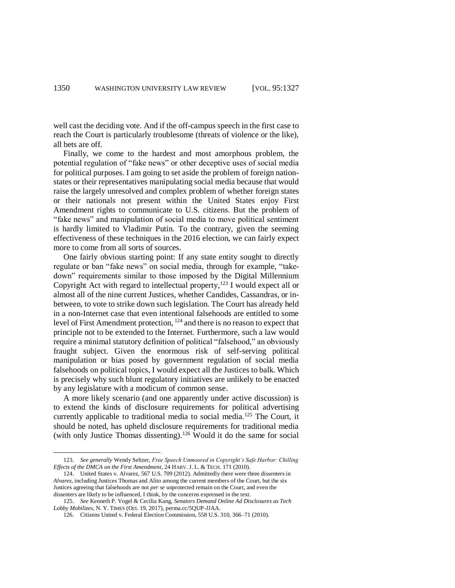well cast the deciding vote. And if the off-campus speech in the first case to reach the Court is particularly troublesome (threats of violence or the like), all bets are off.

Finally, we come to the hardest and most amorphous problem, the potential regulation of "fake news" or other deceptive uses of social media for political purposes. I am going to set aside the problem of foreign nationstates or their representatives manipulating social media because that would raise the largely unresolved and complex problem of whether foreign states or their nationals not present within the United States enjoy First Amendment rights to communicate to U.S. citizens. But the problem of "fake news" and manipulation of social media to move political sentiment is hardly limited to Vladimir Putin. To the contrary, given the seeming effectiveness of these techniques in the 2016 election, we can fairly expect more to come from all sorts of sources.

One fairly obvious starting point: If any state entity sought to directly regulate or ban "fake news" on social media, through for example, "takedown" requirements similar to those imposed by the Digital Millennium Copyright Act with regard to intellectual property, <sup>123</sup> I would expect all or almost all of the nine current Justices, whether Candides, Cassandras, or inbetween, to vote to strike down such legislation. The Court has already held in a non-Internet case that even intentional falsehoods are entitled to some level of First Amendment protection, <sup>124</sup> and there is no reason to expect that principle not to be extended to the Internet. Furthermore, such a law would require a minimal statutory definition of political "falsehood," an obviously fraught subject. Given the enormous risk of self-serving political manipulation or bias posed by government regulation of social media falsehoods on political topics, I would expect all the Justices to balk. Which is precisely why such blunt regulatory initiatives are unlikely to be enacted by any legislature with a modicum of common sense.

A more likely scenario (and one apparently under active discussion) is to extend the kinds of disclosure requirements for political advertising currently applicable to traditional media to social media.<sup>125</sup> The Court, it should be noted, has upheld disclosure requirements for traditional media (with only Justice Thomas dissenting).<sup>126</sup> Would it do the same for social

<sup>123.</sup> *See generally* Wendy Seltzer, *Free Speech Unmoored in Copyright's Safe Harbor: Chilling Effects of the DMCA on the First Amendment*, 24 HARV. J. L. & TECH. 171 (2010).

<sup>124.</sup> United States v. Alvarez, 567 U.S. 709 (2012). Admittedly there were three dissenters in *Alvarez*, including Justices Thomas and Alito among the current members of the Court, but the six Justices agreeing that falsehoods are not *per se* unprotected remain on the Court, and even the dissenters are likely to be influenced, I think, by the concerns expressed in the text.

<sup>125.</sup> *See* Kenneth P. Vogel & Cecilia Kang, *Senators Demand Online Ad Disclosures as Tech Lobby Mobilizes,* N. Y. TIMES (Oct. 19, 2017), perma.cc/5QUP-JJAA.

<sup>126.</sup> Citizens United v. Federal Election Commission, 558 U.S. 310, 366–71 (2010).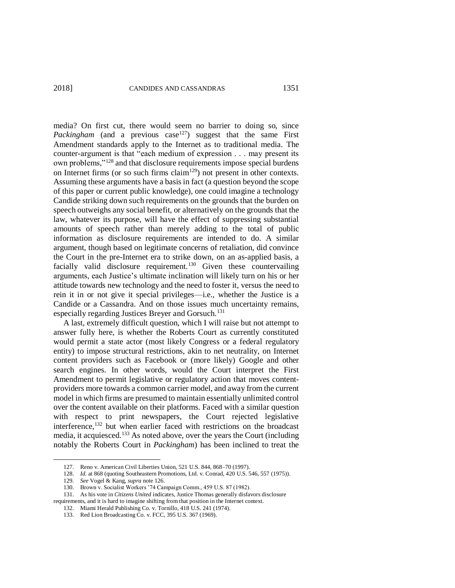media? On first cut, there would seem no barrier to doing so, since *Packingham* (and a previous case<sup>127</sup>) suggest that the same First Amendment standards apply to the Internet as to traditional media. The counter-argument is that "each medium of expression . . . may present its own problems,"<sup>128</sup> and that disclosure requirements impose special burdens on Internet firms (or so such firms  $\operatorname{claim}^{129}$ ) not present in other contexts. Assuming these arguments have a basis in fact (a question beyond the scope of this paper or current public knowledge), one could imagine a technology Candide striking down such requirements on the grounds that the burden on speech outweighs any social benefit, or alternatively on the grounds that the law, whatever its purpose, will have the effect of suppressing substantial amounts of speech rather than merely adding to the total of public information as disclosure requirements are intended to do. A similar argument, though based on legitimate concerns of retaliation, did convince the Court in the pre-Internet era to strike down, on an as-applied basis, a facially valid disclosure requirement.<sup>130</sup> Given these countervailing arguments, each Justice's ultimate inclination will likely turn on his or her attitude towards new technology and the need to foster it, versus the need to rein it in or not give it special privileges—i.e., whether the Justice is a Candide or a Cassandra. And on those issues much uncertainty remains, especially regarding Justices Breyer and Gorsuch.<sup>131</sup>

A last, extremely difficult question, which I will raise but not attempt to answer fully here, is whether the Roberts Court as currently constituted would permit a state actor (most likely Congress or a federal regulatory entity) to impose structural restrictions, akin to net neutrality, on Internet content providers such as Facebook or (more likely) Google and other search engines. In other words, would the Court interpret the First Amendment to permit legislative or regulatory action that moves contentproviders more towards a common carrier model, and away from the current model in which firms are presumed to maintain essentially unlimited control over the content available on their platforms. Faced with a similar question with respect to print newspapers, the Court rejected legislative interference,<sup>132</sup> but when earlier faced with restrictions on the broadcast media, it acquiesced.<sup>133</sup> As noted above, over the years the Court (including notably the Roberts Court in *Packingham*) has been inclined to treat the

128. *Id.* at 868 (quoting Southeastern Promotions, Ltd. v. Conrad, 420 U.S. 546, 557 (1975)).

<sup>127.</sup> Reno v. American Civil Liberties Union, 521 U.S. 844, 868–70 (1997).

<sup>129.</sup> *See* Vogel & Kang, *supra* note 126.

<sup>130.</sup> Brown v. Socialist Workers '74 Campaign Comm., 459 U.S. 87 (1982).

<sup>131.</sup> As his vote in *Citizens United* indicates, Justice Thomas generally disfavors disclosure requirements, and it is hard to imagine shifting from that position in the Internet context.

<sup>132.</sup> Miami Herald Publishing Co. v. Tornillo, 418 U.S. 241 (1974).

<sup>133.</sup> Red Lion Broadcasting Co. v. FCC, 395 U.S. 367 (1969).